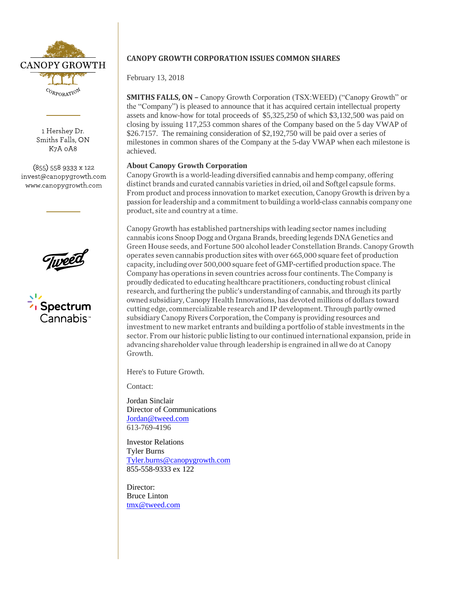

1 Hershey Dr. Smiths Falls, ON K7A 0A8

(855) 558 9333 x 122 invest@canopygrowth.com www.canopygrowth.com



Spectrum Cannabis<sup>,</sup>

## **CANOPY GROWTH CORPORATION ISSUES COMMON SHARES**

February 13, 2018

**SMITHS FALLS, ON –** Canopy Growth Corporation (TSX:WEED) ("Canopy Growth" or the "Company") is pleased to announce that it has acquired certain intellectual property assets and know-how for total proceeds of \$5,325,250 of which \$3,132,500 was paid on closing by issuing 117,253 common shares of the Company based on the 5 day VWAP of \$26.7157. The remaining consideration of \$2,192,750 will be paid over a series of milestones in common shares of the Company at the 5-day VWAP when each milestone is achieved.

**About Canopy Growth Corporation**<br>Canopy Growth is a world-leading diversified cannabis and hemp company, offering distinct brands and curated cannabis varieties in dried, oil and Softgel capsule forms. From product and process innovation to market execution, Canopy Growth is driven by a passion for leadership and a commitment to building a world-class cannabis company one product, site and country at a time.

Canopy Growth has established partnerships with leading sector names including cannabis icons Snoop Dogg and Organa Brands, breeding legends DNA Genetics and Green House seeds, and Fortune 500 alcohol leader Constellation Brands. Canopy Growth operates seven cannabis production sites with over 665,000 square feet of production capacity, including over 500,000 square feet of GMP-certified production space. The Company has operations in seven countries across four continents. The Company is proudly dedicated to educating healthcare practitioners, conducting robust clinical research, and furthering the public's understanding of cannabis, and through its partly owned subsidiary, Canopy Health Innovations, has devoted millions of dollars toward cutting edge, commercializable research and IP development. Through partly owned subsidiary Canopy Rivers Corporation, the Company is providing resources and investment to new market entrants and building a portfolio of stable investments in the sector. From our historic public listing to our continued international expansion, pride in advancing shareholder value through leadership is engrained in all we do at Canopy Growth.

Here's to Future Growth.

Contact:

Jordan Sinclair Director of Communications [Jordan@tweed.com](mailto:Jordan@tweed.com) 613-769-4196

Investor Relations Tyler Burns [Tyler.burns@canopygrowth.com](mailto:Tyler.burns@canopygrowth.com) 855-558-9333 ex 122

Director: Bruce Linton [tmx@tweed.com](mailto:tmx@tweed.com)